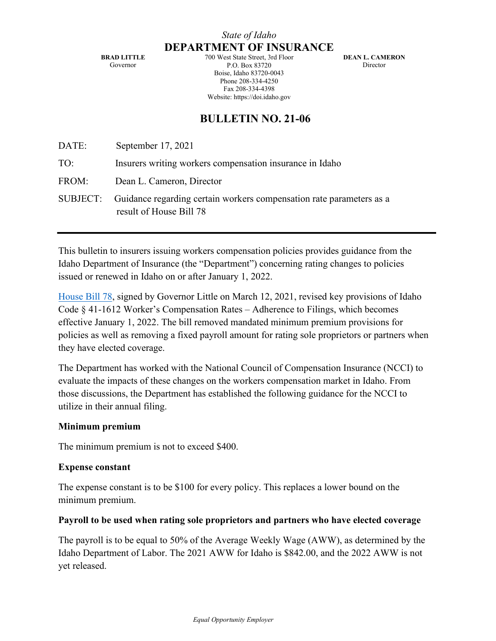**BRAD LITTLE** Governor

700 West State Street, 3rd Floor P.O. Box 83720 Boise, Idaho 83720-0043 Phone 208-334-4250 Fax 208-334-4398 Website: https://doi.idaho.gov

**DEAN L. CAMERON** Director

## **BULLETIN NO. 21-06**

| DATE: | September 17, 2021                                                                                       |
|-------|----------------------------------------------------------------------------------------------------------|
| TO:   | Insurers writing workers compensation insurance in Idaho                                                 |
| FROM: | Dean L. Cameron, Director                                                                                |
|       | SUBJECT: Guidance regarding certain workers compensation rate parameters as a<br>result of House Bill 78 |

This bulletin to insurers issuing workers compensation policies provides guidance from the Idaho Department of Insurance (the "Department") concerning rating changes to policies issued or renewed in Idaho on or after January 1, 2022.

[House Bill 78,](https://legislature.idaho.gov/wp-content/uploads/sessioninfo/2021/legislation/H0078.pdf) signed by Governor Little on March 12, 2021, revised key provisions of Idaho Code § 41-1612 Worker's Compensation Rates – Adherence to Filings, which becomes effective January 1, 2022. The bill removed mandated minimum premium provisions for policies as well as removing a fixed payroll amount for rating sole proprietors or partners when they have elected coverage.

The Department has worked with the National Council of Compensation Insurance (NCCI) to evaluate the impacts of these changes on the workers compensation market in Idaho. From those discussions, the Department has established the following guidance for the NCCI to utilize in their annual filing.

## **Minimum premium**

The minimum premium is not to exceed \$400.

## **Expense constant**

The expense constant is to be \$100 for every policy. This replaces a lower bound on the minimum premium.

## **Payroll to be used when rating sole proprietors and partners who have elected coverage**

The payroll is to be equal to 50% of the Average Weekly Wage (AWW), as determined by the Idaho Department of Labor. The 2021 AWW for Idaho is \$842.00, and the 2022 AWW is not yet released.